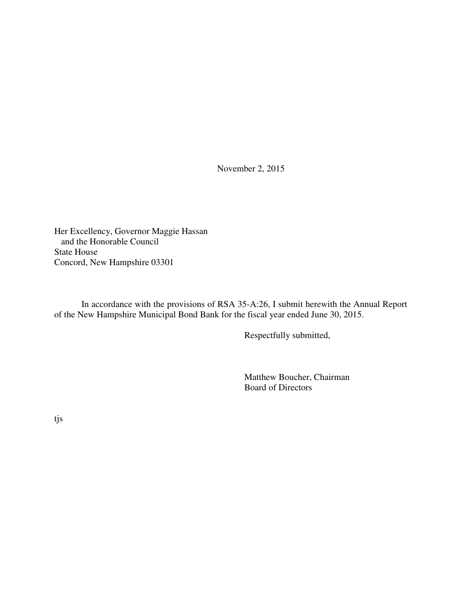November 2, 2015

Her Excellency, Governor Maggie Hassan and the Honorable Council State House Concord, New Hampshire 03301

 In accordance with the provisions of RSA 35-A:26, I submit herewith the Annual Report of the New Hampshire Municipal Bond Bank for the fiscal year ended June 30, 2015.

Respectfully submitted,

 Matthew Boucher, Chairman Board of Directors

tjs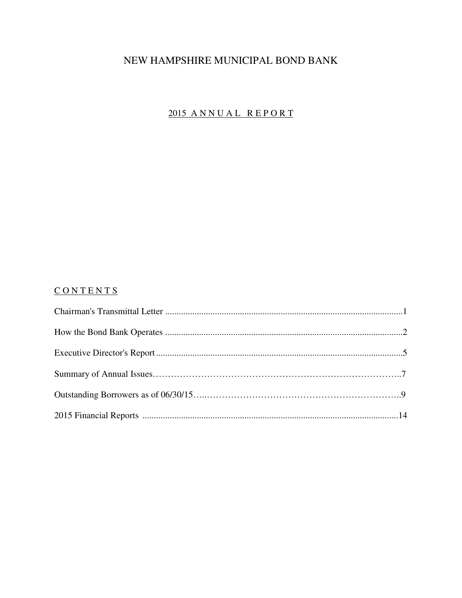# NEW HAMPSHIRE MUNICIPAL BOND BANK

# 2015 ANNUAL REPORT

## CONTENTS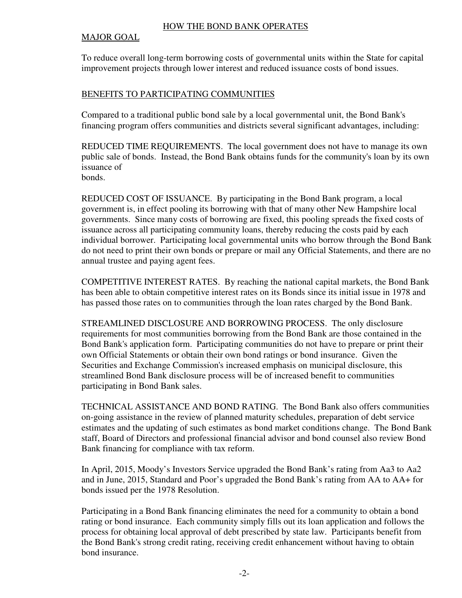#### HOW THE BOND BANK OPERATES

### MAJOR GOAL

To reduce overall long-term borrowing costs of governmental units within the State for capital improvement projects through lower interest and reduced issuance costs of bond issues.

### BENEFITS TO PARTICIPATING COMMUNITIES

Compared to a traditional public bond sale by a local governmental unit, the Bond Bank's financing program offers communities and districts several significant advantages, including:

REDUCED TIME REQUIREMENTS. The local government does not have to manage its own public sale of bonds. Instead, the Bond Bank obtains funds for the community's loan by its own issuance of

bonds.

REDUCED COST OF ISSUANCE. By participating in the Bond Bank program, a local government is, in effect pooling its borrowing with that of many other New Hampshire local governments. Since many costs of borrowing are fixed, this pooling spreads the fixed costs of issuance across all participating community loans, thereby reducing the costs paid by each individual borrower. Participating local governmental units who borrow through the Bond Bank do not need to print their own bonds or prepare or mail any Official Statements, and there are no annual trustee and paying agent fees.

COMPETITIVE INTEREST RATES. By reaching the national capital markets, the Bond Bank has been able to obtain competitive interest rates on its Bonds since its initial issue in 1978 and has passed those rates on to communities through the loan rates charged by the Bond Bank.

STREAMLINED DISCLOSURE AND BORROWING PROCESS. The only disclosure requirements for most communities borrowing from the Bond Bank are those contained in the Bond Bank's application form. Participating communities do not have to prepare or print their own Official Statements or obtain their own bond ratings or bond insurance. Given the Securities and Exchange Commission's increased emphasis on municipal disclosure, this streamlined Bond Bank disclosure process will be of increased benefit to communities participating in Bond Bank sales.

TECHNICAL ASSISTANCE AND BOND RATING. The Bond Bank also offers communities on-going assistance in the review of planned maturity schedules, preparation of debt service estimates and the updating of such estimates as bond market conditions change. The Bond Bank staff, Board of Directors and professional financial advisor and bond counsel also review Bond Bank financing for compliance with tax reform.

In April, 2015, Moody's Investors Service upgraded the Bond Bank's rating from Aa3 to Aa2 and in June, 2015, Standard and Poor's upgraded the Bond Bank's rating from AA to AA+ for bonds issued per the 1978 Resolution.

Participating in a Bond Bank financing eliminates the need for a community to obtain a bond rating or bond insurance. Each community simply fills out its loan application and follows the process for obtaining local approval of debt prescribed by state law. Participants benefit from the Bond Bank's strong credit rating, receiving credit enhancement without having to obtain bond insurance.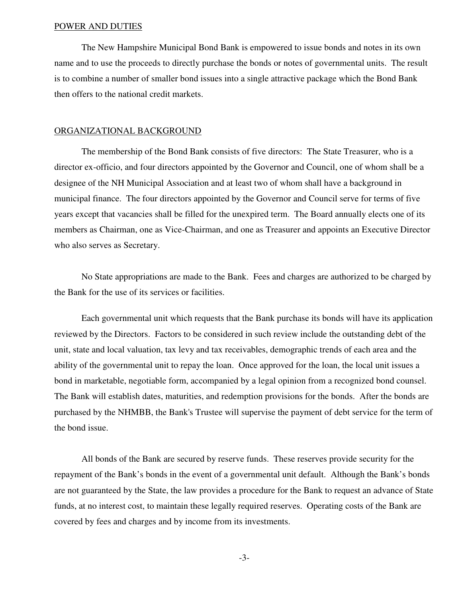#### POWER AND DUTIES

 The New Hampshire Municipal Bond Bank is empowered to issue bonds and notes in its own name and to use the proceeds to directly purchase the bonds or notes of governmental units. The result is to combine a number of smaller bond issues into a single attractive package which the Bond Bank then offers to the national credit markets.

#### ORGANIZATIONAL BACKGROUND

 The membership of the Bond Bank consists of five directors: The State Treasurer, who is a director ex-officio, and four directors appointed by the Governor and Council, one of whom shall be a designee of the NH Municipal Association and at least two of whom shall have a background in municipal finance. The four directors appointed by the Governor and Council serve for terms of five years except that vacancies shall be filled for the unexpired term. The Board annually elects one of its members as Chairman, one as Vice-Chairman, and one as Treasurer and appoints an Executive Director who also serves as Secretary.

 No State appropriations are made to the Bank. Fees and charges are authorized to be charged by the Bank for the use of its services or facilities.

 Each governmental unit which requests that the Bank purchase its bonds will have its application reviewed by the Directors. Factors to be considered in such review include the outstanding debt of the unit, state and local valuation, tax levy and tax receivables, demographic trends of each area and the ability of the governmental unit to repay the loan. Once approved for the loan, the local unit issues a bond in marketable, negotiable form, accompanied by a legal opinion from a recognized bond counsel. The Bank will establish dates, maturities, and redemption provisions for the bonds. After the bonds are purchased by the NHMBB, the Bank's Trustee will supervise the payment of debt service for the term of the bond issue.

 All bonds of the Bank are secured by reserve funds. These reserves provide security for the repayment of the Bank's bonds in the event of a governmental unit default. Although the Bank's bonds are not guaranteed by the State, the law provides a procedure for the Bank to request an advance of State funds, at no interest cost, to maintain these legally required reserves. Operating costs of the Bank are covered by fees and charges and by income from its investments.

-3-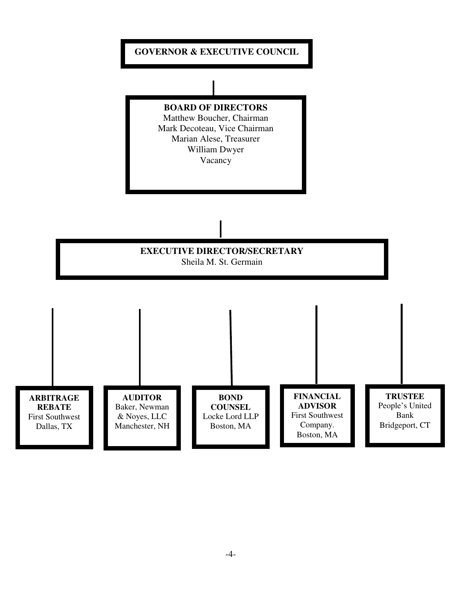# **GOVERNOR & EXECUTIVE COUNCIL**

**BOARD OF DIRECTORS** Matthew Boucher, Chairman

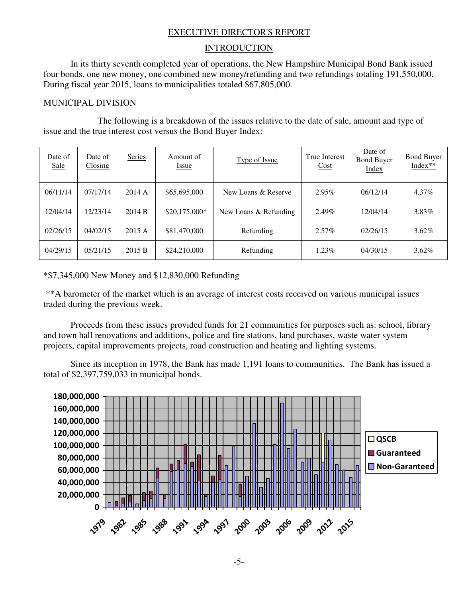### EXECUTIVE DIRECTOR'S REPORT

#### **INTRODUCTION**

In its thirty seventh completed year of operations, the New Hampshire Municipal Bond Bank issued four bonds, one new money, one combined new money/refunding and two refundings totaling 191,550,000. During fiscal year 2015, loans to municipalities totaled \$67,805,000.

#### MUNICIPAL DIVISION

 The following is a breakdown of the issues relative to the date of sale, amount and type of issue and the true interest cost versus the Bond Buyer Index:

| Date of<br><b>Sale</b> | Date of<br>Closing | Series | Amount of<br>Issue | Type of Issue         | <b>True Interest</b><br>Cost | Date of<br><b>Bond Buyer</b><br>Index | <b>Bond Buyer</b><br>Index** |
|------------------------|--------------------|--------|--------------------|-----------------------|------------------------------|---------------------------------------|------------------------------|
| 06/11/14               | 07/17/14           | 2014 A | \$65,695,000       | New Loans & Reserve   | 2.95%                        | 06/12/14                              | $4.37\%$                     |
| 12/04/14               | 12/23/14           | 2014 B | $$20,175,000*$     | New Loans & Refunding | 2.49%                        | 12/04/14                              | 3.83%                        |
| 02/26/15               | 04/02/15           | 2015 A | \$81,470,000       | Refunding             | $2.57\%$                     | 02/26/15                              | $3.62\%$                     |
| 04/29/15               | 05/21/15           | 2015 B | \$24,210,000       | Refunding             | $1.23\%$                     | 04/30/15                              | $3.62\%$                     |

### \*\$7,345,000 New Money and \$12,830,000 Refunding

 \*\*A barometer of the market which is an average of interest costs received on various municipal issues traded during the previous week.

 Proceeds from these issues provided funds for 21 communities for purposes such as: school, library and town hall renovations and additions, police and fire stations, land purchases, waste water system projects, capital improvements projects, road construction and heating and lighting systems.

Since its inception in 1978, the Bank has made 1,191 loans to communities. The Bank has issued a total of \$2,397,759,033 in municipal bonds.